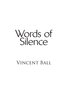

# Vincent Ball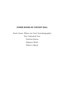### OTHER BOOKS BY VINCENT BALL

Buck Jones, Where are You? (autobiography) The Cathedral Tree Patrick Downs Regency Rebel Writer's Block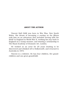### ABOUT THE AUTHOR

Vincent Ball OAM was born in Wee Waa, New South Wales. His dream of becoming *a cowboy on the fillums* took him on an adventure that included serving with the RAAF in England in World War II, working his way back to England on a tramp steamer, and winning a scholarship to The Royal Academy of Dramatic Art, London.

He worked as an actor for 25 years (waiting to be discovered and whisked off to Hollywood!), and returned to Australia in 1973.

Vincent is a widower. He has four children, five grandchildren and one great-grandchild.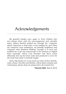### Acknowledgements

My grateful thanks once again to Peter Yeldam who was always there with his encouragement and valuable input. Robert Bartlett guided me through the 'computer speak' labyrinth to find what I was looking for and when my computer went walkabout, my friendly neighbour and computer whiz Matthew Widdup, brought it to heel and enabled me to get my manuscript to the printers at Digital Print Australia, where Cory Heneker and Steve Lewis efficiently tied up the loose ends and produced a cover for the book that made everybody happy.

And a big thank you to my back-up team of dear friends, Julia, Diana, Dorothy and Krithia, whose kind remarks and enthusiasm always kept me going when all seemed lost.

Vincent Ball, March 2018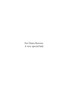For Diana Beevers. A very special lady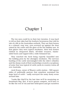## Chapter 1

The two men could be in their late twenties. It was hard to tell as their skin had the leathery brownness that told its tale of a life in the Australian outback. They sat their horses in a relaxed, easy way, eyes screwed up against the dust raised by the cattle and the glare of the hot midday sun. At first glance they were typical stockmen, their lean frames clothed in chequered shirts, off-white trousers, elasticsided boots and topped with a wide-brimmed hat.

They watched the herd being expertly funnelled into the holding pens by the aborigine stockmen. The nervous bawling of the cattle intermingled with the rider's whistles and the sharp crack of their stockwhips created a cacophony of noise that was typical of cattle yards in country towns all over Australia.

Jack Evans, owner of Waaree cattle station – 500 square miles of unfriendly pasture that somehow sustained his large herd of cattle – sadly surveyed the noisy dusty scene around him.

"Looks like this'll be the last time we'll be mustering on horseback Reg. But, if we're gunna compete, we'll have to be like the rest of 'em and hire helicopters and get ourselves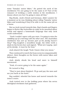#### WORDS OF SILENCE

some 'Yamaha' motor bikes." He patted the neck of his stockhorse."It's not going to be the same is it? Part of the romance of working a cattle station is the stockhorse. I dunno about you but I'm going to miss all that."

Reg Brady, Jack's friend and foreman, didn't answer for a moment as he was thinking about riding 'Yamaha' motor bikes and wondering if they'd be able to do the same job as a horse.

But as Jack turned towards him, Reg's hands and fingers began to flutter like butterflies in reply as he mouthed silent words and signed a homemade language that only Jack could understand.

*"Yeah I couldn't agree with you more. I'm going to miss the saddling up of a morning with the other men. The Australian stockhorse has sort of, become part of the family haven't they?"* Reg laughed a soundless laugh, his white teeth a slash in his brown face and signed, *"What am I saying, 'part of the family', it must be the heat."*

Jack shared the laugh."Yeah I know what you mean."

They continued to watch the busy scene in companionable silence, their thoughts on the future with motor bikes and helicopters.

Jack slowly shook his head and more to himself murmured,

"Yeah, it's never going to be the same again."

He turned to Reg.

"They've just about finished. I'll go and pay the men and see you back at the hotel."

Reg nodded, wheeled his horse and moved towards the town's centre.

Jack trotted over to the holding pens where his seven Aboriginal stockmen had gathered.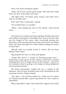Peter, the head stockman spoke.

"Boss, all in now, pretty good shape. Me and men camp down by river same place last time.

"All right Peter. I'll bring some money and some beer, only no trouble now."

Peter gave him a wide grin, saying,

"No trouble boss, no trouble."

"Okay," and raising his arm to the others, Jack moved away.

\* \* \*

The pub was crowded and Jack and Reg, freshly showered and clothed, managed to shoulder their way to the bar that ran the length of the room. After eventually getting the attention of the harassed barmen they then had to shoulder their way back through the crowd without losing too much of their beer.

"Bloody hell, it's hardly worth it, where did all these blokes come from?"

Reg handed his beer to Jack and signed,

*"Looks like there's a couple of shearing gangs here"* – indicating a large group of men doing a good job of noisily drinking their way through their last pay cheque*." And if I'm not mistaken they're getting to the stage of being belligerent loud mouthed drunks."*

His hand movements caught the eye a couple of the shearers, who in their drunken state were fascinated by the unusual activity of Reg's hands.

"Aye sport, "one of them yelled out, "what are yer wavin' yer hands around like a great big sheila for. You a poof or somethin?"

When Reg didn't reply, this somewhat angered the noisy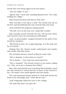#### WORDS OF SILENCE

drunk who was being egged on by his mates.

"Aye I'm talkin' to you."

"Ignore him," Jack said, handing Reg his beer, "he's only looking for a fight."

Reg turned his back and did as Jack said.

That was like a red rag to a bull. The drunk was up on his feet and shouldering his way towards Reg and Jack.

Jack watched his progress saying quietly.

"Oh shit, he's on his way over, looks like trouble."

Reg casually moved towards the bar, left his beer there and turned to face the oncoming troublemaker.

Jack, as peacemaker, stepped forward in the path of the would-be assailant.

"My friend is mute. It's a sign language. It is the only way he can speak."

Hoping that the drunk would understand and maybe this would calm him down.

The drunken shearer stared at Reg for some time.

"He's a dummy, is that what yer sayin?"

"He is dumb ..." but Jack was interrupted by,

"He's a dummy!" The drunk turned to his mates calling out, "Hey, we've got a dummy here fellas!"

Reg, who had quietly been watching this interplay eased his way forward to stand directly in front of the shearer's face. He made a few small signals with his hands.

The now bemused drunk looked at Jack and shook his head as he slurringly said, "what did he say?"

Jack resignedly rolled his eyes to the ceiling.

"He said why don't you piss off."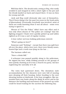Well that did it. The drunk took a swing at Reg, who easily avoided it and stepped in with a short right to the jaw and the drunk landed on back and stayed there. It was on then for young and old.

Jack and Reg could obviously take care of themselves. They'd been doing it for the past ten years in the bush pubs of Queensland. Eventually everybody was involved, most of them not really knowing what it was all about – some even trying to ignore it.

Shouts of "Get the Police" didn't have any effect and it was only when shouts of "The police are coming!" that the fighting stopped. Chairs were quickly picked up and tables righted as if it was a sort of regular routine.

A lone rather nervous looking policeman entered.

"What's going on here?"

Someone said "Nothing" – except that there was spilt beer all over the place, shirts were torn, there were bloody noses, busted lips and a tooth was lying on the bar ...

The barman called out,

"Have a drink Bill."

A schooner was passed quickly along to the policeman. He sipped his beer, while looking around at the groups of men quietly chatting as if it was a church tea party, his face registering the unreality of it all.

*\** 

The town had quietened down. The dormitory style accommodation for the shearers were now full of snoring men sleeping off their boozing, before heading to the next shearing station at daybreak. A few lone stragglers, like me, wended their way home along the dimly lit street and in the distance the bawling and movement of the penned-up cattle could be heard waiting for the auction the following day.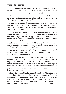In the blackness of room No 5 in the Coolabah Hotel, I could hear from down the hall a murmur of voices – male and female – the squeaking of a bed – giggles.

But in here there was only me and a gut full of beer for company. Being mute made it too difficult to get a girl – to 'chat one up' in a noisy pub? Yeah right.

*I was born unable to talk and my mum kept telling me*  when I was a kid that it was all right to be dumb and that it *didn't really matter. I couldn't talk and it didn't really matter! That was my mum for you!*

*Thank God for Helen Evans the wife of George Evans the owner of Waaree. She'd been a schoolteacher before she married George and to occupy herself, while her husband was with the cattle, she gathered together all the aborigine children around the station, cleaned out and decorated a small empty building and started teaching them how to read and write. My mum used to help her until I came along and Jack arrived a couple of months later.*

*But me being born mute didn't help my parents – I can still hear my mum and dad, fighting and shouting and blaming each other for my muteness.* 

*In the late fifties, School of the Air was established for remote learning and it soon had the same curriculum as any other school in the state. So that SOA students weren't disadvantaged the teachers tried to tailor each package to their individual needs. Gifted students or those with learning difficulties were especially catered for and given individual learning programs.* 

*Helen Evans had the latest radio equipment installed and school for me became an adventure as I struggled to 'keep up' with Jack and pass my exams. To counteract my muteness, she encouraged me to read. This I did. and I became an avid reader travelling the world with great explorers, adventuring and fighting battles with heroes like Wellington, Nelson and*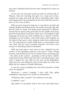*any other colourful heroic person that changed the course of history.*

*In the end, my mum got so fed up with me and her life on Waaree, that one morning she gave me a hug and a kiss, packed her bags and took off with a travelling rodeo rider, who happened to be passing by at the time and that was the last we ever saw of them.* 

*With no mum around to help me, it was left to my dad, old Charlie Wright and School of the Air to fill in the gap. My dad did the best he could, but being head stockman at Waaree meant that he spent most of his time in the saddle and away from the homestead. In all that 'alone time' I developed a sign language all of my own that enabled me to 'speak' to all the aborigines on the station, who'd fall about with laughter at the antics I'd get up to, when trying to make them understand me. The only person I could really have a conversation with was Jack, but he wasn't around anymore, he'd been sent away to a boarding school in Brisbane.*

*With my mum gone I was more or less 'adopted' by the women in the aborigine quarters and when I wasn't doing lessons with School of the Air, I'd spend hours watching Lily – the elder of the women – painting on bits of bark. I didn't understand what all the dots that she was doing meant, and when I asked her, she told me she was of the Kalkadoon tribe and she was telling the story of the night her tribe was killed by the troopers at Battle Mountain.*

*It was her way of making sure that that massacre would never be forgotten.* 

*Whenever I wasn't reading, I was with Lily, going walkabout, listening to her stories of 'dreamtime.'*

*"Would you like to paint?" she asked me one day.*

*I nodded a "yes".* 

*Lily spoke to my father and in the next mail drop there*